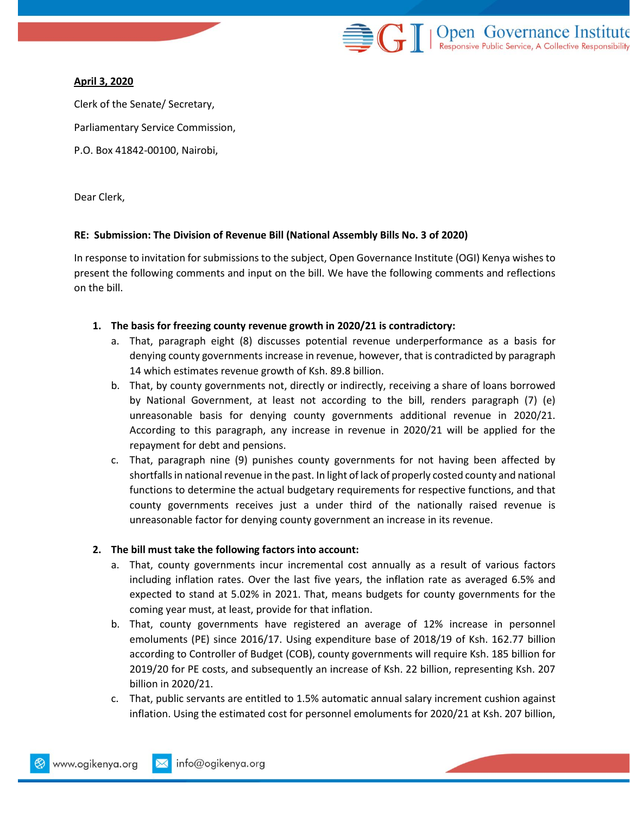

### **April 3, 2020**

Clerk of the Senate/ Secretary, Parliamentary Service Commission, P.O. Box 41842-00100, Nairobi,

Dear Clerk,

### **RE: Submission: The Division of Revenue Bill (National Assembly Bills No. 3 of 2020)**

In response to invitation for submissions to the subject, Open Governance Institute (OGI) Kenya wishes to present the following comments and input on the bill. We have the following comments and reflections on the bill.

### **1. The basis for freezing county revenue growth in 2020/21 is contradictory:**

- a. That, paragraph eight (8) discusses potential revenue underperformance as a basis for denying county governments increase in revenue, however, that is contradicted by paragraph 14 which estimates revenue growth of Ksh. 89.8 billion.
- b. That, by county governments not, directly or indirectly, receiving a share of loans borrowed by National Government, at least not according to the bill, renders paragraph (7) (e) unreasonable basis for denying county governments additional revenue in 2020/21. According to this paragraph, any increase in revenue in 2020/21 will be applied for the repayment for debt and pensions.
- c. That, paragraph nine (9) punishes county governments for not having been affected by shortfalls in national revenue in the past. In light of lack of properly costed county and national functions to determine the actual budgetary requirements for respective functions, and that county governments receives just a under third of the nationally raised revenue is unreasonable factor for denying county government an increase in its revenue.

## **2. The bill must take the following factors into account:**

- a. That, county governments incur incremental cost annually as a result of various factors including inflation rates. Over the last five years, the inflation rate as averaged 6.5% and expected to stand at 5.02% in 2021. That, means budgets for county governments for the coming year must, at least, provide for that inflation.
- b. That, county governments have registered an average of 12% increase in personnel emoluments (PE) since 2016/17. Using expenditure base of 2018/19 of Ksh. 162.77 billion according to Controller of Budget (COB), county governments will require Ksh. 185 billion for 2019/20 for PE costs, and subsequently an increase of Ksh. 22 billion, representing Ksh. 207 billion in 2020/21.
- c. That, public servants are entitled to 1.5% automatic annual salary increment cushion against inflation. Using the estimated cost for personnel emoluments for 2020/21 at Ksh. 207 billion,